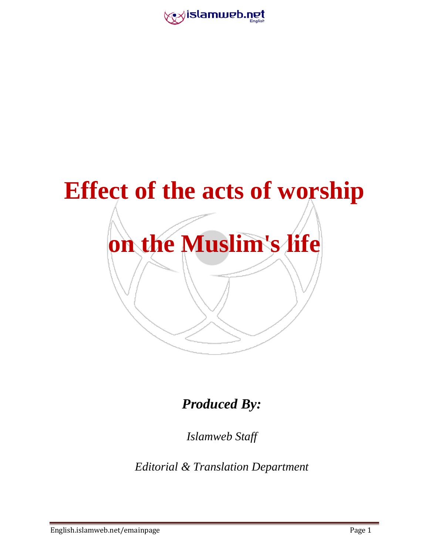



*Produced By:*

*Islamweb Staff*

*Editorial & Translation Department*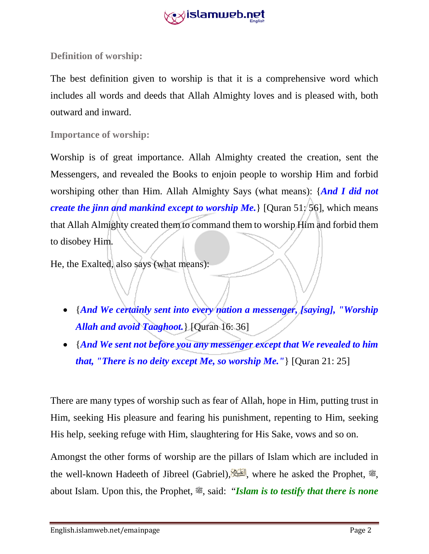

**Definition of worship:**

The best definition given to worship is that it is a comprehensive word which includes all words and deeds that Allah Almighty loves and is pleased with, both outward and inward.

**Importance of worship:** 

Worship is of great importance. Allah Almighty created the creation, sent the Messengers, and revealed the Books to enjoin people to worship Him and forbid worshiping other than Him. Allah Almighty Says (what means): {*And I did not create the jinn and mankind except to worship Me.* [Quran 51: 56], which means that Allah Almighty created them to command them to worship Him and forbid them to disobey Him.

He, the Exalted, also says (what means):

- {*And We certainly sent into every nation a messenger, [saying], "Worship Allah and avoid Taaghoot.*} [Quran 16: 36]
- {*And We sent not before you any messenger except that We revealed to him that, "There is no deity except Me, so worship Me."*} [Quran 21: 25]

There are many types of worship such as fear of Allah, hope in Him, putting trust in Him, seeking His pleasure and fearing his punishment, repenting to Him, seeking His help, seeking refuge with Him, slaughtering for His Sake, vows and so on.

Amongst the other forms of worship are the pillars of Islam which are included in the well-known Hadeeth of Jibreel (Gabriel), where he asked the Prophet,  $\ddot{\mathcal{E}}$ , about Islam. Upon this, the Prophet,  $\mathcal{L}$ , said: "*Islam is to testify that there is none*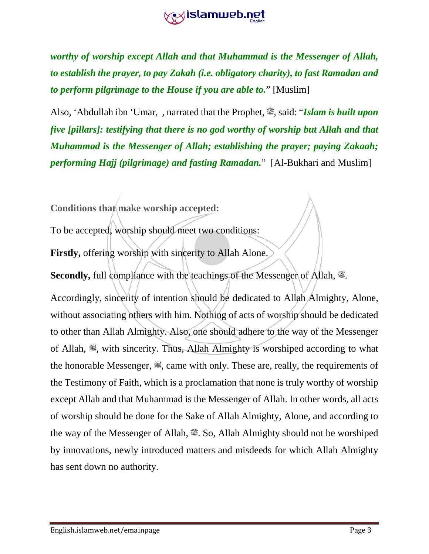

*worthy of worship except Allah and that Muhammad is the Messenger of Allah, to establish the prayer, to pay Zakah (i.e. obligatory charity), to fast Ramadan and to perform pilgrimage to the House if you are able to.*" [Muslim]

Also, 'Abdullah ibn 'Umar, , narrated that the Prophet,  $\mathcal{F}$ , said: "*Islam is built upon five [pillars]: testifying that there is no god worthy of worship but Allah and that Muhammad is the Messenger of Allah; establishing the prayer; paying Zakaah; performing Hajj (pilgrimage) and fasting Ramadan.*" [Al-Bukhari and Muslim]

**Conditions that make worship accepted:**

To be accepted, worship should meet two conditions:

**Firstly,** offering worship with sincerity to Allah Alone.

Secondly, full compliance with the teachings of the Messenger of Allah,  $\ddot{\mathcal{Z}}$ .

Accordingly, sincerity of intention should be dedicated to Allah Almighty, Alone, without associating others with him. Nothing of acts of worship should be dedicated to other than Allah Almighty. Also, one should adhere to the way of the Messenger of Allah,  $\mathcal{L}$ , with sincerity. Thus, Allah Almighty is worshiped according to what the honorable Messenger,  $\mathcal{L}$ , came with only. These are, really, the requirements of the Testimony of Faith, which is a proclamation that none is truly worthy of worship except Allah and that Muhammad is the Messenger of Allah. In other words, all acts of worship should be done for the Sake of Allah Almighty, Alone, and according to the way of the Messenger of Allah,  $\ddot{\mathcal{F}}$ . So, Allah Almighty should not be worshiped. by innovations, newly introduced matters and misdeeds for which Allah Almighty has sent down no authority.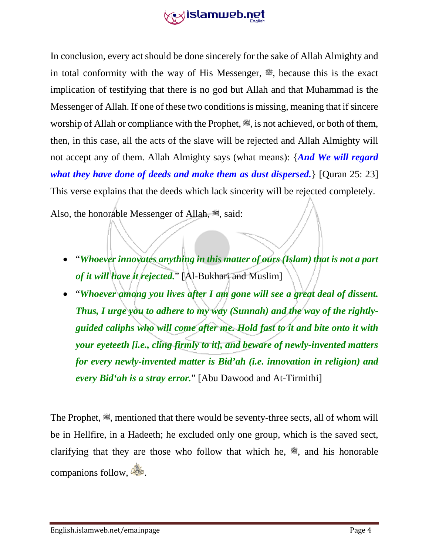

In conclusion, every act should be done sincerely for the sake of Allah Almighty and in total conformity with the way of His Messenger,  $\ddot{\mathscr{E}}$ , because this is the exact implication of testifying that there is no god but Allah and that Muhammad is the Messenger of Allah. If one of these two conditions is missing, meaning that if sincere worship of Allah or compliance with the Prophet,  $\ddot{\mathcal{L}}$ , is not achieved, or both of them, then, in this case, all the acts of the slave will be rejected and Allah Almighty will not accept any of them. Allah Almighty says (what means): {*And We will regard what they have done of deeds and make them as dust dispersed.* [Quran 25: 23] This verse explains that the deeds which lack sincerity will be rejected completely.

Also, the honorable Messenger of Allah,  $\ddot{\mathcal{F}}$ , said:

- "*Whoever innovates anything in this matter of ours (Islam) that is not a part of it will have it rejected.*" [Al-Bukhari and Muslim]
- "*Whoever among you lives after I am gone will see a great deal of dissent. Thus, I urge you to adhere to my way (Sunnah) and the way of the rightlyguided caliphs who will come after me. Hold fast to it and bite onto it with your eyeteeth [i.e., cling firmly to it], and beware of newly-invented matters for every newly-invented matter is Bid'ah (i.e. innovation in religion) and every Bid'ah is a stray error.*" [Abu Dawood and At-Tirmithi]

The Prophet,  $\ddot{\mathcal{F}}$ , mentioned that there would be seventy-three sects, all of whom will be in Hellfire, in a Hadeeth; he excluded only one group, which is the saved sect, clarifying that they are those who follow that which he,  $\ddot{\mathcal{E}}$ , and his honorable companions follow,  $\frac{dS}{dS}$ .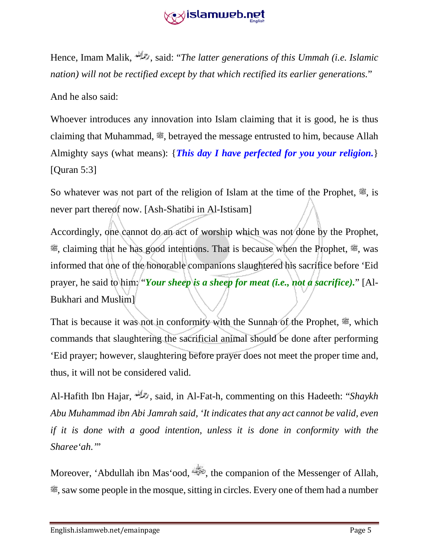## **gett islamweb.net**

Hence, Imam Malik, , said: "*The latter generations of this Ummah (i.e. Islamic nation) will not be rectified except by that which rectified its earlier generations.*"

And he also said:

Whoever introduces any innovation into Islam claiming that it is good, he is thus claiming that Muhammad,  $\mathcal{L}$ , betrayed the message entrusted to him, because Allah Almighty says (what means): {*This day I have perfected for you your religion.*} [Quran 5:3]

So whatever was not part of the religion of Islam at the time of the Prophet,  $\ddot{\mathcal{L}}$ , is never part thereof now. [Ash-Shatibi in Al-Istisam]

Accordingly, one cannot do an act of worship which was not done by the Prophet,  $\mathscr{L}$ , claiming that he has good intentions. That is because when the Prophet,  $\mathscr{L}$ , was informed that one of the honorable companions slaughtered his sacrifice before 'Eid prayer, he said to him: "*Your sheep* is a sheep for meat (i.e., not a sacrifice)." [Al-Bukhari and Muslim]

That is because it was not in conformity with the Sunnah of the Prophet,  $\ddot{\mathcal{F}}$ , which commands that slaughtering the sacrificial animal should be done after performing 'Eid prayer; however, slaughtering before prayer does not meet the proper time and, thus, it will not be considered valid.

Al-Hafith Ibn Hajar, , said, in Al-Fat-h, commenting on this Hadeeth: "*Shaykh Abu Muhammad ibn Abi Jamrah said, 'It indicates that any act cannot be valid, even if it is done with a good intention, unless it is done in conformity with the Sharee'ah.'*"

Moreover, 'Abdullah ibn Mas'ood,  $\ddot{\bullet}$ , the companion of the Messenger of Allah,  $\mathcal{L}$ , saw some people in the mosque, sitting in circles. Every one of them had a number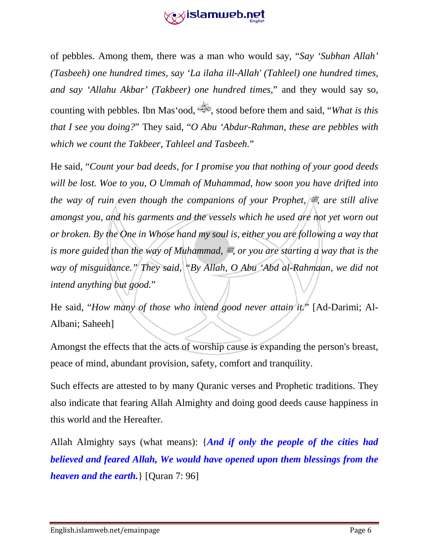

of pebbles. Among them, there was a man who would say, "*Say 'Subhan Allah' (Tasbeeh) one hundred times, say 'La ilaha ill-Allah' (Tahleel) one hundred times, and say 'Allahu Akbar' (Takbeer) one hundred times,*" and they would say so, counting with pebbles. Ibn Mas'ood, stood before them and said, "*What is this that I see you doing?*" They said, "*O Abu 'Abdur-Rahman, these are pebbles with which we count the Takbeer, Tahleel and Tasbeeh.*"

He said, "*Count your bad deeds, for I promise you that nothing of your good deeds will be lost. Woe to you, O Ummah of Muhammad, how soon you have drifted into the way of ruin even though the companions of your Prophet,*  $\ddot{\mathcal{F}}$  are still alive *amongst you, and his garments and the vessels which he used are not yet worn out or broken. By the One in Whose hand my soul is, either you are following a way that is more guided than the way of Muhammad,*  $\ddot{\mathcal{Z}}$ *, or you are starting a way that is the way of misguidance." They said, "By Allah, O Abu 'Abd al-Rahmaan, we did not intend anything but good.*"

He said, "How many of those who intend good never attain it." [Ad-Darimi; Al-Albani; Saheeh]

Amongst the effects that the acts of worship cause is expanding the person's breast, peace of mind, abundant provision, safety, comfort and tranquility.

Such effects are attested to by many Quranic verses and Prophetic traditions. They also indicate that fearing Allah Almighty and doing good deeds cause happiness in this world and the Hereafter.

Allah Almighty says (what means): {*And if only the people of the cities had believed and feared Allah, We would have opened upon them blessings from the heaven and the earth.*} [Quran 7: 96]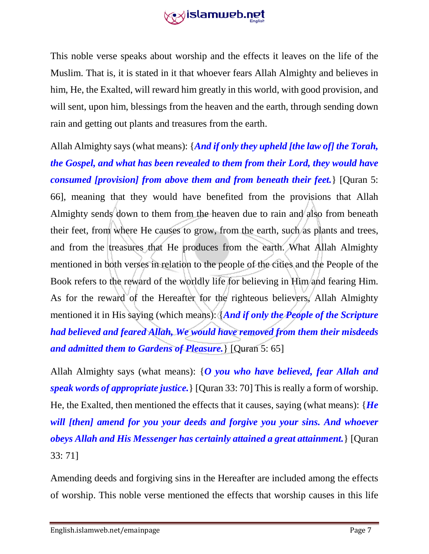

This noble verse speaks about worship and the effects it leaves on the life of the Muslim. That is, it is stated in it that whoever fears Allah Almighty and believes in him, He, the Exalted, will reward him greatly in this world, with good provision, and will sent, upon him, blessings from the heaven and the earth, through sending down rain and getting out plants and treasures from the earth.

Allah Almighty says (what means): {*And if only they upheld [the law of] the Torah, the Gospel, and what has been revealed to them from their Lord, they would have consumed [provision] from above them and from beneath their feet.*} [Quran 5: 66], meaning that they would have benefited from the provisions that Allah Almighty sends down to them from the heaven due to rain and also from beneath their feet, from where He causes to grow, from the earth, such as plants and trees, and from the treasures that He produces from the earth. What Allah Almighty mentioned in both verses in relation to the people of the cities and the People of the Book refers to the reward of the worldly life for believing in Him and fearing Him. As for the reward of the Hereafter for the righteous believers, Allah Almighty mentioned it in His saying (which means): {*And if only the People of the Scripture had believed and feared Allah, We would have removed from them their misdeeds and admitted them to Gardens of Pleasure.*} [Quran 5: 65]

Allah Almighty says (what means): {*O you who have believed, fear Allah and speak words of appropriate justice.*} [Quran 33: 70] This is really a form of worship. He, the Exalted, then mentioned the effects that it causes, saying (what means): {*He will [then] amend for you your deeds and forgive you your sins. And whoever obeys Allah and His Messenger has certainly attained a great attainment.*} [Quran 33: 71]

Amending deeds and forgiving sins in the Hereafter are included among the effects of worship. This noble verse mentioned the effects that worship causes in this life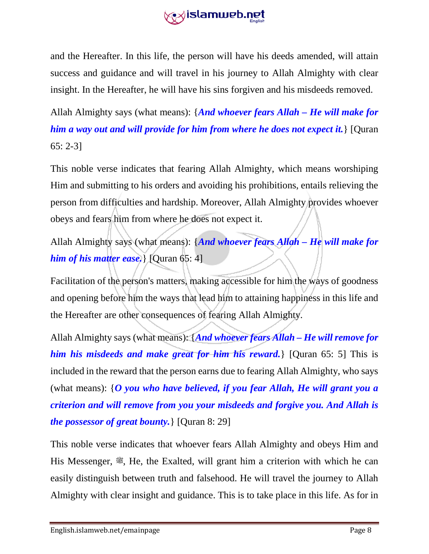

and the Hereafter. In this life, the person will have his deeds amended, will attain success and guidance and will travel in his journey to Allah Almighty with clear insight. In the Hereafter, he will have his sins forgiven and his misdeeds removed.

Allah Almighty says (what means): {*And whoever fears Allah – He will make for him a way out and will provide for him from where he does not expect it.*} [Quran 65: 2-3]

This noble verse indicates that fearing Allah Almighty, which means worshiping Him and submitting to his orders and avoiding his prohibitions, entails relieving the person from difficulties and hardship. Moreover, Allah Almighty provides whoever obeys and fears him from where he does not expect it.

Allah Almighty says (what means): {*And whoever fears Allah – He will make for him of his matter ease.*} [Quran 65: 4]

Facilitation of the person's matters, making accessible for him the ways of goodness and opening before him the ways that lead him to attaining happiness in this life and the Hereafter are other consequences of fearing Allah Almighty.

Allah Almighty says (what means): {*And whoever fears Allah – He will remove for him his misdeeds and make great for him his reward.*} [Quran 65: 5] This is included in the reward that the person earns due to fearing Allah Almighty, who says (what means): {*O you who have believed, if you fear Allah, He will grant you a criterion and will remove from you your misdeeds and forgive you. And Allah is the possessor of great bounty.*} [Quran 8: 29]

This noble verse indicates that whoever fears Allah Almighty and obeys Him and His Messenger,  $\mathcal{L}$ , He, the Exalted, will grant him a criterion with which he can easily distinguish between truth and falsehood. He will travel the journey to Allah Almighty with clear insight and guidance. This is to take place in this life. As for in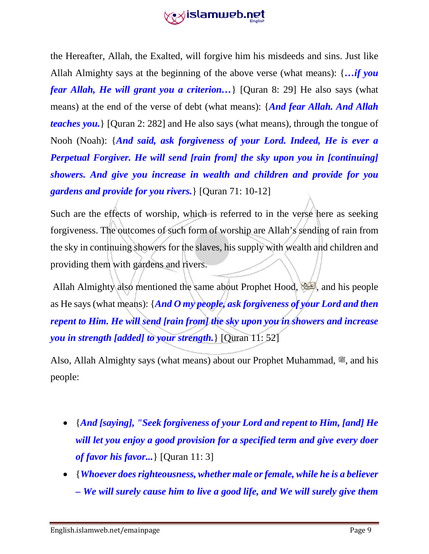# **extistamweb.net**

the Hereafter, Allah, the Exalted, will forgive him his misdeeds and sins. Just like Allah Almighty says at the beginning of the above verse (what means): {*…if you fear Allah, He will grant you a criterion…*} [Quran 8: 29] He also says (what means) at the end of the verse of debt (what means): {*And fear Allah. And Allah teaches you.*} [Quran 2: 282] and He also says (what means), through the tongue of Nooh (Noah): {*And said, ask forgiveness of your Lord. Indeed, He is ever a Perpetual Forgiver. He will send [rain from] the sky upon you in [continuing] showers. And give you increase in wealth and children and provide for you gardens and provide for you rivers.*} [Quran 71: 10-12]

Such are the effects of worship, which is referred to in the verse here as seeking forgiveness. The outcomes of such form of worship are Allah's sending of rain from the sky in continuing showers for the slaves, his supply with wealth and children and providing them with gardens and rivers.

Allah Almighty also mentioned the same about Prophet Hood, see, and his people as He says (what means): {*And O my people, ask forgiveness of your Lord and then repent to Him. He will send [rain from] the sky upon you in showers and increase you in strength [added] to your strength.*} [Quran 11: 52]

Also, Allah Almighty says (what means) about our Prophet Muhammad,  $\ddot{\mathcal{Z}}$ , and his people:

- {*And [saying], "Seek forgiveness of your Lord and repent to Him, [and] He will let you enjoy a good provision for a specified term and give every doer of favor his favor...*} [Quran 11: 3]
- {*Whoever does righteousness, whether male or female, while he is a believer – We will surely cause him to live a good life, and We will surely give them*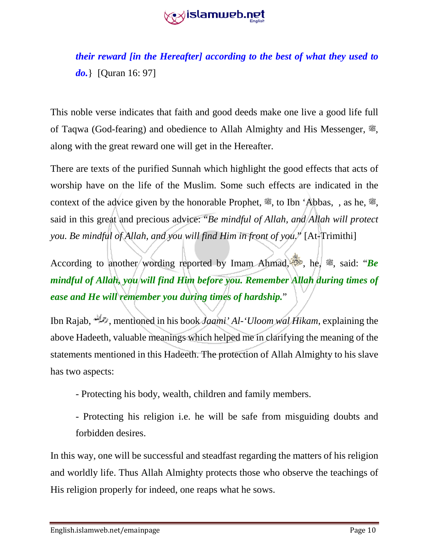

*their reward [in the Hereafter] according to the best of what they used to do.*} [Quran 16: 97]

This noble verse indicates that faith and good deeds make one live a good life full of Taqwa (God-fearing) and obedience to Allah Almighty and His Messenger,  $\ddot{\mathcal{F}}$ , along with the great reward one will get in the Hereafter.

There are texts of the purified Sunnah which highlight the good effects that acts of worship have on the life of the Muslim. Some such effects are indicated in the context of the advice given by the honorable Prophet,  $\ddot{\mathcal{L}}$ , to Ibn 'Abbas, , as he,  $\ddot{\mathcal{Z}}$ , said in this great and precious advice: "*Be mindful of Allah, and Allah will protect you. Be mindful of Allah, and you will find Him in front of you.*" [At-Trimithi]

According to another wording reported by Imam Ahmad,  $\bullet$ , he,  $\ddot{\bullet}$ , said: "*Be mindful of Allah, you will find Him before you. Remember Allah during times of ease and He will remember you during times of hardship.*"

Ibn Rajab,  $\mathbb{R}^2$ , mentioned in his book *Jaami' Al-'Uloom wal Hikam*, explaining the above Hadeeth, valuable meanings which helped me in clarifying the meaning of the statements mentioned in this Hadeeth. The protection of Allah Almighty to his slave has two aspects:

- Protecting his body, wealth, children and family members.
- Protecting his religion i.e. he will be safe from misguiding doubts and forbidden desires.

In this way, one will be successful and steadfast regarding the matters of his religion and worldly life. Thus Allah Almighty protects those who observe the teachings of His religion properly for indeed, one reaps what he sows.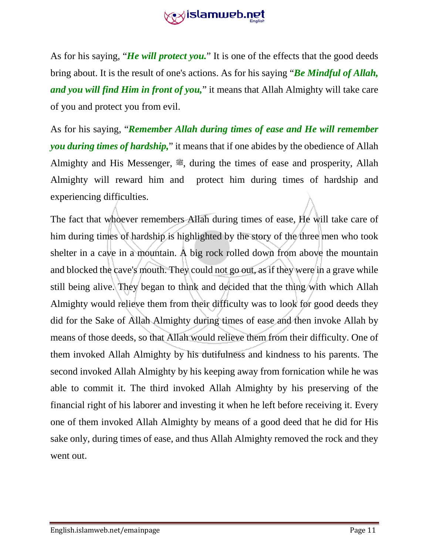

As for his saying, "*He will protect you.*" It is one of the effects that the good deeds bring about. It is the result of one's actions. As for his saying "*Be Mindful of Allah, and you will find Him in front of you,*" it means that Allah Almighty will take care of you and protect you from evil.

As for his saying, "*Remember Allah during times of ease and He will remember you during times of hardship,*" it means that if one abides by the obedience of Allah Almighty and His Messenger,  $\ddot{\mathcal{L}}$ , during the times of ease and prosperity, Allah Almighty will reward him and protect him during times of hardship and experiencing difficulties.

The fact that whoever remembers Allah during times of ease, He will take care of him during times of hardship is highlighted by the story of the three men who took shelter in a cave in a mountain. A big rock rolled down from above the mountain and blocked the cave's mouth. They could not go out, as if they were in a grave while still being alive. They began to think and decided that the thing with which Allah Almighty would relieve them from their difficulty was to look for good deeds they did for the Sake of Allah Almighty during times of ease and then invoke Allah by means of those deeds, so that Allah would relieve them from their difficulty. One of them invoked Allah Almighty by his dutifulness and kindness to his parents. The second invoked Allah Almighty by his keeping away from fornication while he was able to commit it. The third invoked Allah Almighty by his preserving of the financial right of his laborer and investing it when he left before receiving it. Every one of them invoked Allah Almighty by means of a good deed that he did for His sake only, during times of ease, and thus Allah Almighty removed the rock and they went out.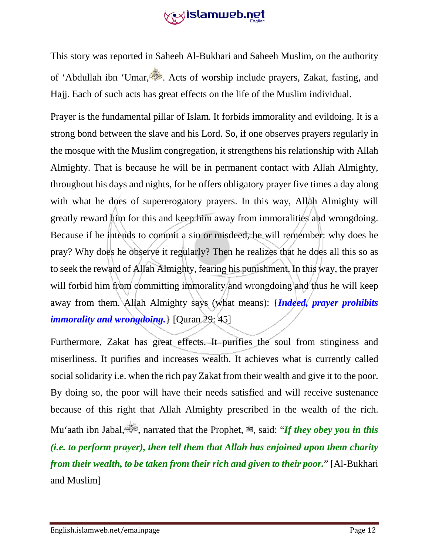# **extislamweb.net**

This story was reported in Saheeh Al-Bukhari and Saheeh Muslim, on the authority of 'Abdullah ibn 'Umar, . Acts of worship include prayers, Zakat, fasting, and Hajj. Each of such acts has great effects on the life of the Muslim individual.

Prayer is the fundamental pillar of Islam. It forbids immorality and evildoing. It is a strong bond between the slave and his Lord. So, if one observes prayers regularly in the mosque with the Muslim congregation, it strengthens his relationship with Allah Almighty. That is because he will be in permanent contact with Allah Almighty, throughout his days and nights, for he offers obligatory prayer five times a day along with what he does of supererogatory prayers. In this way, Allah Almighty will greatly reward him for this and keep him away from immoralities and wrongdoing. Because if he intends to commit a sin or misdeed, he will remember: why does he pray? Why does he observe it regularly? Then he realizes that he does all this so as to seek the reward of Allah Almighty, fearing his punishment. In this way, the prayer will forbid him from committing immorality and wrongdoing and thus he will keep away from them. Allah Almighty says (what means): {*Indeed, prayer prohibits immorality and wrongdoing.*} [Quran 29: 45]

Furthermore, Zakat has great effects. It purifies the soul from stinginess and miserliness. It purifies and increases wealth. It achieves what is currently called social solidarity i.e. when the rich pay Zakat from their wealth and give it to the poor. By doing so, the poor will have their needs satisfied and will receive sustenance because of this right that Allah Almighty prescribed in the wealth of the rich. Mu'aath ibn Jabal,  $\ddot{\ddot{\phi}}$ , narrated that the Prophet,  $\ddot{\ddot{\phi}}$ , said: *'If they obey you in this (i.e. to perform prayer), then tell them that Allah has enjoined upon them charity from their wealth, to be taken from their rich and given to their poor.*" [Al-Bukhari and Muslim]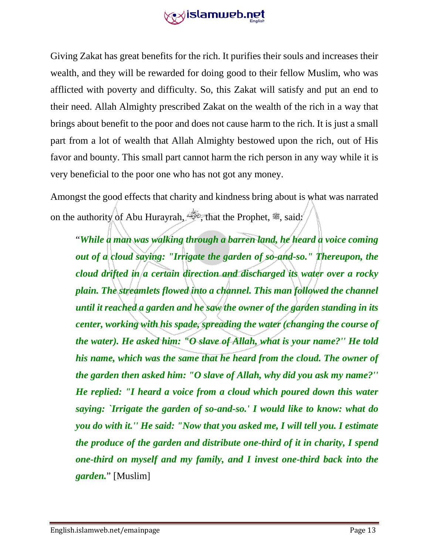

Giving Zakat has great benefits for the rich. It purifies their souls and increases their wealth, and they will be rewarded for doing good to their fellow Muslim, who was afflicted with poverty and difficulty. So, this Zakat will satisfy and put an end to their need. Allah Almighty prescribed Zakat on the wealth of the rich in a way that brings about benefit to the poor and does not cause harm to the rich. It is just a small part from a lot of wealth that Allah Almighty bestowed upon the rich, out of His favor and bounty. This small part cannot harm the rich person in any way while it is very beneficial to the poor one who has not got any money.

Amongst the good effects that charity and kindness bring about is what was narrated on the authority of Abu Hurayrah,  $\ddot{\mathcal{L}}$ , that the Prophet,  $\ddot{\mathcal{L}}$ , said:

"*While a man was walking through a barren land, he heard a voice coming out of a cloud saying: "Irrigate the garden of so-and-so." Thereupon, the cloud drifted in a certain direction and discharged its water over a rocky plain. The streamlets flowed into a channel. This man followed the channel until it reached a garden and he saw the owner of the garden standing in its center, working with his spade, spreading the water (changing the course of the water). He asked him: "O slave of Allah, what is your name?'' He told his name, which was the same that he heard from the cloud. The owner of the garden then asked him: "O slave of Allah, why did you ask my name?'' He replied: "I heard a voice from a cloud which poured down this water saying: `Irrigate the garden of so-and-so.' I would like to know: what do you do with it.'' He said: "Now that you asked me, I will tell you. I estimate the produce of the garden and distribute one-third of it in charity, I spend one-third on myself and my family, and I invest one-third back into the garden.*" [Muslim]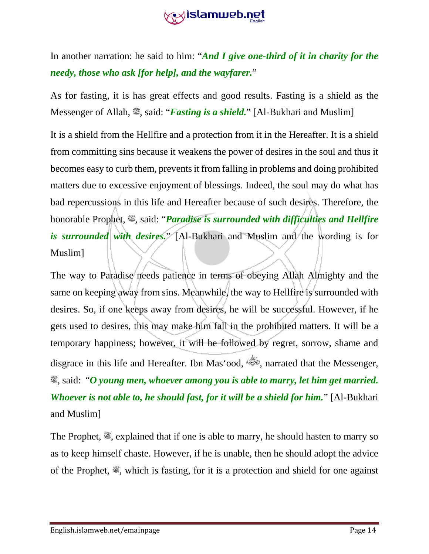#### **extistamweb.net**

In another narration: he said to him: "*And I give one-third of it in charity for the needy, those who ask [for help], and the wayfarer.*"

As for fasting, it is has great effects and good results. Fasting is a shield as the Messenger of Allah, <sup>22</sup>, said: "*Fasting is a shield*." [Al-Bukhari and Muslim]

It is a shield from the Hellfire and a protection from it in the Hereafter. It is a shield from committing sins because it weakens the power of desires in the soul and thus it becomes easy to curb them, prevents it from falling in problems and doing prohibited matters due to excessive enjoyment of blessings. Indeed, the soul may do what has bad repercussions in this life and Hereafter because of such desires. Therefore, the honorable Prophet,  $\ddot{\mathcal{Z}}$ , said: "*Paradise is surrounded with difficulties and Hellfire is surrounded with desires.*" [Al-Bukhari and Muslim and the wording is for Muslim]

The way to Paradise needs patience in terms of obeying Allah Almighty and the same on keeping away from sins. Meanwhile, the way to Hellfire is surrounded with desires. So, if one keeps away from desires, he will be successful. However, if he gets used to desires, this may make him fall in the prohibited matters. It will be a temporary happiness; however, it will be followed by regret, sorrow, shame and disgrace in this life and Hereafter. Ibn Mas'ood,  $\overset{\text{def}}{=}$ , narrated that the Messenger, صلى الله عليه وسلم, said: "*O young men, whoever among you is able to marry, let him get married. Whoever is not able to, he should fast, for it will be a shield for him.*" [Al-Bukhari and Muslim]

The Prophet,  $\ddot{\mathcal{L}}$ , explained that if one is able to marry, he should hasten to marry so as to keep himself chaste. However, if he is unable, then he should adopt the advice of the Prophet,  $\ddot{\mathcal{F}}$ , which is fasting, for it is a protection and shield for one against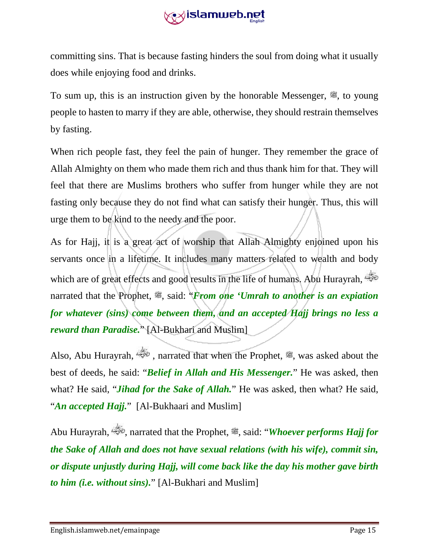

committing sins. That is because fasting hinders the soul from doing what it usually does while enjoying food and drinks.

To sum up, this is an instruction given by the honorable Messenger,  $\ddot{\mathcal{L}}$ , to young people to hasten to marry if they are able, otherwise, they should restrain themselves by fasting.

When rich people fast, they feel the pain of hunger. They remember the grace of Allah Almighty on them who made them rich and thus thank him for that. They will feel that there are Muslims brothers who suffer from hunger while they are not fasting only because they do not find what can satisfy their hunger. Thus, this will urge them to be kind to the needy and the poor.

As for Hajj, it is a great act of worship that Allah Almighty enjoined upon his servants once in a lifetime. It includes many matters related to wealth and body which are of great effects and good results in the life of humans. Abu Hurayrah, narrated that the Prophet,  $\ddot{\mathcal{L}}$ , said: *'From one 'Umrah to another is an expiation for whatever (sins) come between them, and an accepted Hajj brings no less a reward than Paradise.*" [Al-Bukhari and Muslim]

Also, Abu Hurayrah,  $\frac{d}{d}$ , narrated that when the Prophet,  $\cong$ , was asked about the best of deeds, he said: "*Belief in Allah and His Messenger.*" He was asked, then what? He said, "*Jihad for the Sake of Allah.*" He was asked, then what? He said, "An accepted Hajj." [Al-Bukhaari and Muslim]

Abu Hurayrah, , narrated that the Prophet, صلى الله عليه وسلم, said: "*Whoever performs Hajj for the Sake of Allah and does not have sexual relations (with his wife), commit sin, or dispute unjustly during Hajj, will come back like the day his mother gave birth to him (i.e. without sins).*" [Al-Bukhari and Muslim]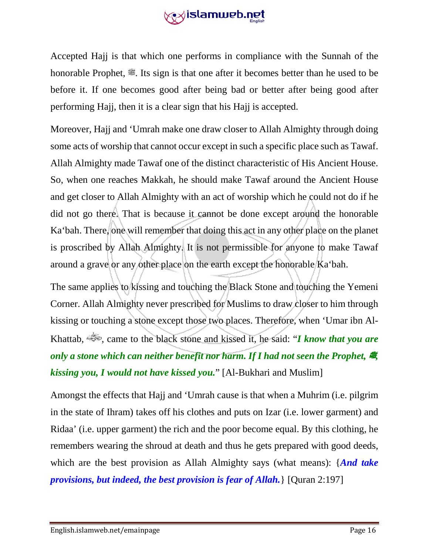

Accepted Hajj is that which one performs in compliance with the Sunnah of the honorable Prophet,  $\mathcal{F}$ . Its sign is that one after it becomes better than he used to be before it. If one becomes good after being bad or better after being good after performing Hajj, then it is a clear sign that his Hajj is accepted.

Moreover, Hajj and 'Umrah make one draw closer to Allah Almighty through doing some acts of worship that cannot occur except in such a specific place such as Tawaf. Allah Almighty made Tawaf one of the distinct characteristic of His Ancient House. So, when one reaches Makkah, he should make Tawaf around the Ancient House and get closer to Allah Almighty with an act of worship which he could not do if he did not go there. That is because it cannot be done except around the honorable Ka'bah. There, one will remember that doing this act in any other place on the planet is proscribed by Allah Almighty. It is not permissible for anyone to make Tawaf around a grave or any other place on the earth except the honorable Ka'bah.

The same applies to kissing and touching the Black Stone and touching the Yemeni Corner. Allah Almighty never prescribed for Muslims to draw closer to him through kissing or touching a stone except those two places. Therefore, when 'Umar ibn Al-Khattab, , came to the black stone and kissed it, he said: "*I know that you are only a stone which can neither benefit nor harm. If I had not seen the Prophet, 鹭 kissing you, I would not have kissed you.*" [Al-Bukhari and Muslim]

Amongst the effects that Hajj and 'Umrah cause is that when a Muhrim (i.e. pilgrim in the state of Ihram) takes off his clothes and puts on Izar (i.e. lower garment) and Ridaa' (i.e. upper garment) the rich and the poor become equal. By this clothing, he remembers wearing the shroud at death and thus he gets prepared with good deeds, which are the best provision as Allah Almighty says (what means): {*And take provisions, but indeed, the best provision is fear of Allah.*} [Quran 2:197]